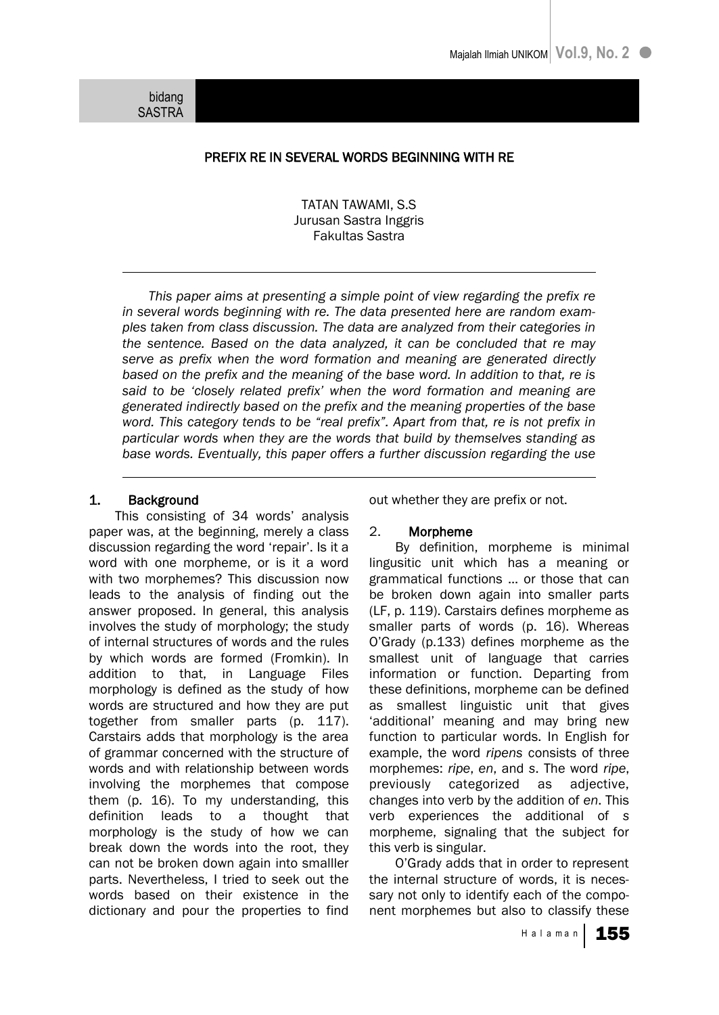bidang SASTRA

# PREFIX RE IN SEVERAL WORDS BEGINNING WITH RE

TATAN TAWAMI, S.S Jurusan Sastra Inggris Fakultas Sastra

*This paper aims at presenting a simple point of view regarding the prefix re in several words beginning with re. The data presented here are random examples taken from class discussion. The data are analyzed from their categories in the sentence. Based on the data analyzed, it can be concluded that re may serve as prefix when the word formation and meaning are generated directly based on the prefix and the meaning of the base word. In addition to that, re is said to be "closely related prefix" when the word formation and meaning are generated indirectly based on the prefix and the meaning properties of the base*  word. This category tends to be "real prefix". Apart from that, re is not prefix in *particular words when they are the words that build by themselves standing as base words. Eventually, this paper offers a further discussion regarding the use* 

# 1. Background

This consisting of 34 words' analysis paper was, at the beginning, merely a class discussion regarding the word "repair". Is it a word with one morpheme, or is it a word with two morphemes? This discussion now leads to the analysis of finding out the answer proposed. In general, this analysis involves the study of morphology; the study of internal structures of words and the rules by which words are formed (Fromkin). In addition to that, in Language Files morphology is defined as the study of how words are structured and how they are put together from smaller parts (p. 117). Carstairs adds that morphology is the area of grammar concerned with the structure of words and with relationship between words involving the morphemes that compose them (p. 16). To my understanding, this definition leads to a thought that morphology is the study of how we can break down the words into the root, they can not be broken down again into smalller parts. Nevertheless, I tried to seek out the words based on their existence in the dictionary and pour the properties to find

out whether they are prefix or not.

# 2. Morpheme

By definition, morpheme is minimal lingusitic unit which has a meaning or grammatical functions ... or those that can be broken down again into smaller parts (LF, p. 119). Carstairs defines morpheme as smaller parts of words (p. 16). Whereas O"Grady (p.133) defines morpheme as the smallest unit of language that carries information or function. Departing from these definitions, morpheme can be defined as smallest linguistic unit that gives 'additional' meaning and may bring new function to particular words. In English for example, the word *ripens* consists of three morphemes: *ripe*, *en*, and *s*. The word *ripe*, previously categorized as adjective, changes into verb by the addition of *en*. This verb experiences the additional of *s* morpheme, signaling that the subject for this verb is singular.

O"Grady adds that in order to represent the internal structure of words, it is necessary not only to identify each of the component morphemes but also to classify these

Halaman | 155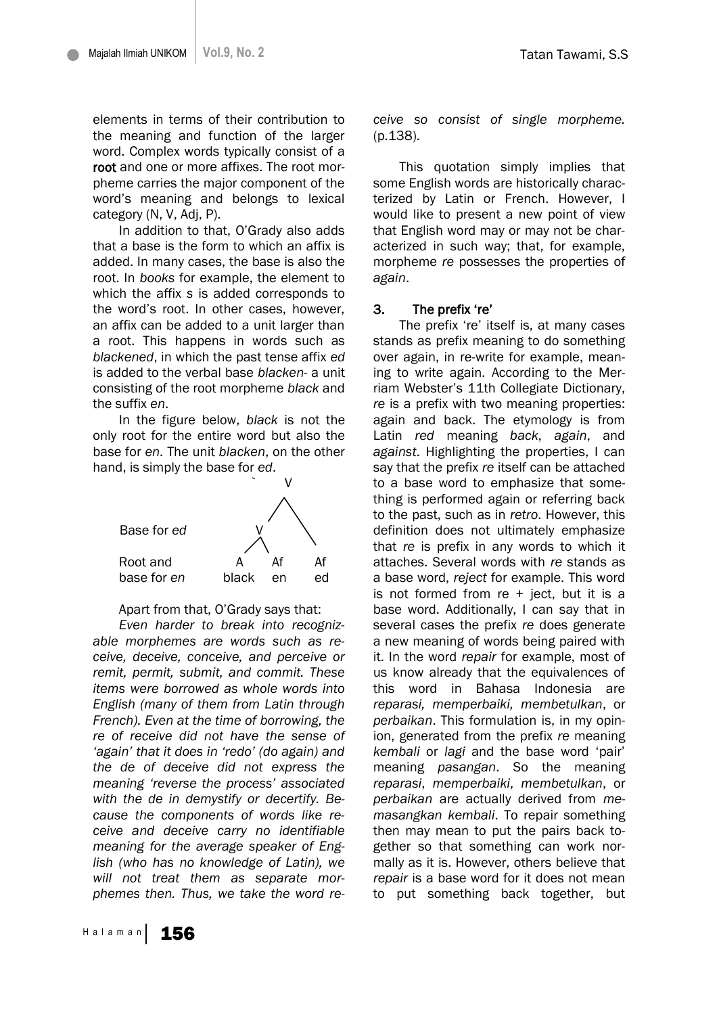elements in terms of their contribution to the meaning and function of the larger word. Complex words typically consist of a root and one or more affixes. The root morpheme carries the major component of the word"s meaning and belongs to lexical category (N, V, Adj, P).

In addition to that, O"Grady also adds that a base is the form to which an affix is added. In many cases, the base is also the root. In *books* for example, the element to which the affix *s* is added corresponds to the word"s root. In other cases, however, an affix can be added to a unit larger than a root. This happens in words such as *blackened*, in which the past tense affix *ed* is added to the verbal base *blacken*- a unit consisting of the root morpheme *black* and the suffix *en*.

In the figure below, *black* is not the only root for the entire word but also the base for *en*. The unit *blacken*, on the other hand, is simply the base for *ed*.



#### Apart from that, O"Grady says that:

*Even harder to break into recognizable morphemes are words such as receive, deceive, conceive, and perceive or remit, permit, submit, and commit. These items were borrowed as whole words into English (many of them from Latin through French). Even at the time of borrowing, the re of receive did not have the sense of "again" that it does in "redo" (do again) and the de of deceive did not express the meaning "reverse the process" associated with the de in demystify or decertify. Because the components of words like receive and deceive carry no identifiable meaning for the average speaker of English (who has no knowledge of Latin), we will not treat them as separate morphemes then. Thus, we take the word re-* *ceive so consist of single morpheme.*  (p.138).

This quotation simply implies that some English words are historically characterized by Latin or French. However, I would like to present a new point of view that English word may or may not be characterized in such way; that, for example, morpheme *re* possesses the properties of *again*.

#### 3. The prefix "re"

The prefix 're' itself is, at many cases stands as prefix meaning to do something over again, in re-write for example, meaning to write again. According to the Merriam Webster"s 11th Collegiate Dictionary, *re* is a prefix with two meaning properties: again and back. The etymology is from Latin *red* meaning *back*, *again*, and *against*. Highlighting the properties, I can say that the prefix *re* itself can be attached to a base word to emphasize that something is performed again or referring back to the past, such as in *retro*. However, this definition does not ultimately emphasize that *re* is prefix in any words to which it attaches. Several words with *re* stands as a base word, *reject* for example. This word is not formed from re + ject, but it is a base word. Additionally, I can say that in several cases the prefix *re* does generate a new meaning of words being paired with it. In the word *repair* for example, most of us know already that the equivalences of this word in Bahasa Indonesia are *reparasi, memperbaiki, membetulkan*, or *perbaikan*. This formulation is, in my opinion, generated from the prefix *re* meaning *kembali* or *lagi* and the base word "pair" meaning *pasangan*. So the meaning *reparasi*, *memperbaiki*, *membetulkan*, or *perbaikan* are actually derived from *memasangkan kembali*. To repair something then may mean to put the pairs back together so that something can work normally as it is. However, others believe that *repair* is a base word for it does not mean to put something back together, but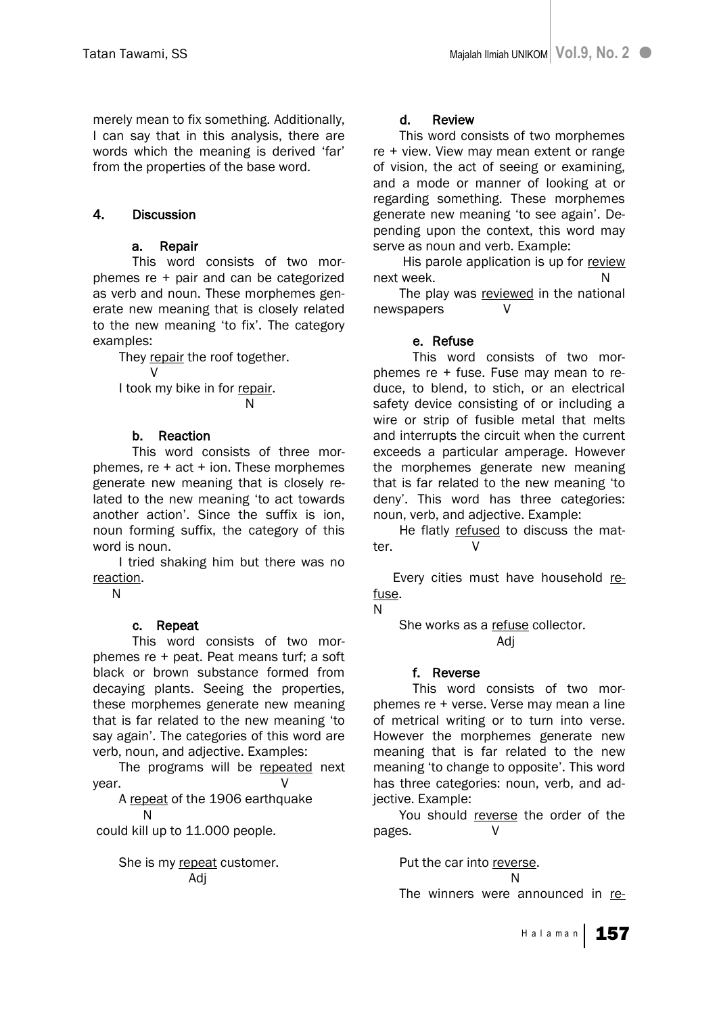merely mean to fix something. Additionally, I can say that in this analysis, there are words which the meaning is derived 'far' from the properties of the base word.

# 4. Discussion

# a. Repair

 This word consists of two morphemes re + pair and can be categorized as verb and noun. These morphemes generate new meaning that is closely related to the new meaning 'to fix'. The category examples:

They repair the roof together. V I took my bike in for repair.

N

# b. Reaction

 This word consists of three morphemes,  $re + act + ion$ . These morphemes generate new meaning that is closely related to the new meaning "to act towards another action". Since the suffix is ion, noun forming suffix, the category of this word is noun.

I tried shaking him but there was no reaction.

N

# c. Repeat

 This word consists of two morphemes re + peat. Peat means turf; a soft black or brown substance formed from decaying plants. Seeing the properties, these morphemes generate new meaning that is far related to the new meaning "to say again". The categories of this word are verb, noun, and adjective. Examples:

The programs will be repeated next year. V

A repeat of the 1906 earthquake N

could kill up to 11.000 people.

She is my repeat customer. Adj

# d. Review

This word consists of two morphemes re + view. View may mean extent or range of vision, the act of seeing or examining, and a mode or manner of looking at or regarding something. These morphemes generate new meaning "to see again". Depending upon the context, this word may serve as noun and verb. Example:

His parole application is up for review next week. Note that the state of the N

The play was reviewed in the national newspapers V

# e. Refuse

 This word consists of two morphemes re + fuse. Fuse may mean to reduce, to blend, to stich, or an electrical safety device consisting of or including a wire or strip of fusible metal that melts and interrupts the circuit when the current exceeds a particular amperage. However the morphemes generate new meaning that is far related to the new meaning "to deny". This word has three categories: noun, verb, and adjective. Example:

He flatly refused to discuss the matter. V

Every cities must have household refuse.

N

She works as a refuse collector. Adj

# f. Reverse

This word consists of two morphemes re + verse. Verse may mean a line of metrical writing or to turn into verse. However the morphemes generate new meaning that is far related to the new meaning 'to change to opposite'. This word has three categories: noun, verb, and adjective. Example:

You should reverse the order of the pages. V

> Put the car into reverse. na na matsayin na matsayin na matsayin na matsayin na matsayin na matsayin na matsayin na matsayin na matsayin<br>Na matsayin na matsayin na matsayin na matsayin na matsayin na matsayin na matsayin na matsayin na matsayin na

The winners were announced in re-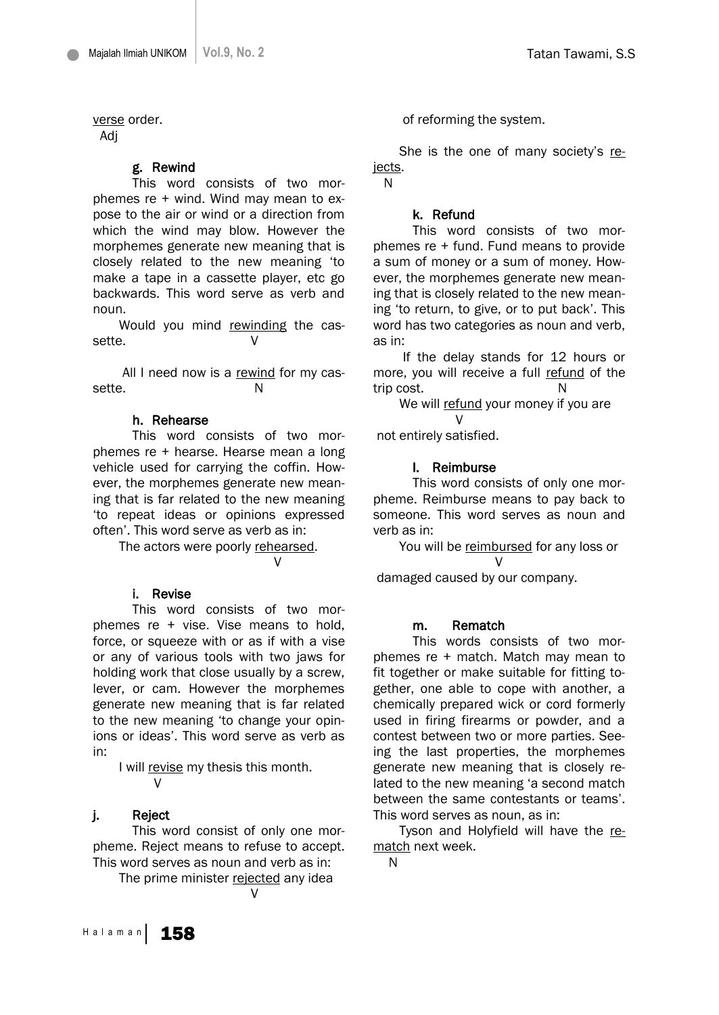Tatan Tawami, S.S

verse order.

Adj

#### g. Rewind

 This word consists of two morphemes re + wind. Wind may mean to expose to the air or wind or a direction from which the wind may blow. However the morphemes generate new meaning that is closely related to the new meaning "to make a tape in a cassette player, etc go backwards. This word serve as verb and noun.

Would you mind rewinding the cassette.

All I need now is a rewind for my cassette. N

## h. Rehearse

 This word consists of two morphemes re + hearse. Hearse mean a long vehicle used for carrying the coffin. However, the morphemes generate new meaning that is far related to the new meaning "to repeat ideas or opinions expressed often". This word serve as verb as in:

The actors were poorly rehearsed. V

# i. Revise

 This word consists of two morphemes re + vise. Vise means to hold, force, or squeeze with or as if with a vise or any of various tools with two jaws for holding work that close usually by a screw, lever, or cam. However the morphemes generate new meaning that is far related to the new meaning "to change your opinions or ideas'. This word serve as verb as in:

I will revise my thesis this month. V

#### j. Reject

 This word consist of only one morpheme. Reject means to refuse to accept. This word serves as noun and verb as in:

The prime minister rejected any idea

of reforming the system.

She is the one of many society"s rejects.

N

## k. Refund

 This word consists of two morphemes re + fund. Fund means to provide a sum of money or a sum of money. However, the morphemes generate new meaning that is closely related to the new meaning "to return, to give, or to put back". This word has two categories as noun and verb, as in:

If the delay stands for 12 hours or more, you will receive a full refund of the trip cost. N

We will refund your money if you are V

not entirely satisfied.

# l. Reimburse

 This word consists of only one morpheme. Reimburse means to pay back to someone. This word serves as noun and verb as in:

You will be reimbursed for any loss or V

damaged caused by our company.

#### m. Rematch

 This words consists of two morphemes re + match. Match may mean to fit together or make suitable for fitting together, one able to cope with another, a chemically prepared wick or cord formerly used in firing firearms or powder, and a contest between two or more parties. Seeing the last properties, the morphemes generate new meaning that is closely related to the new meaning 'a second match between the same contestants or teams'. This word serves as noun, as in:

Tyson and Holyfield will have the rematch next week.

N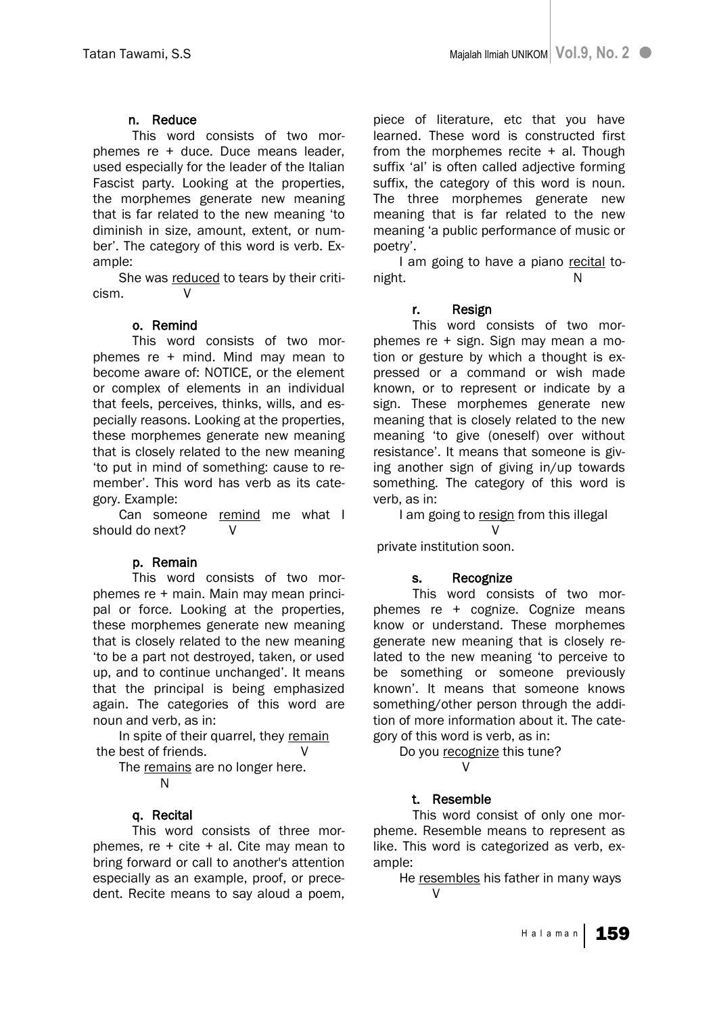# n. Reduce

 This word consists of two morphemes re + duce. Duce means leader, used especially for the leader of the Italian Fascist party. Looking at the properties, the morphemes generate new meaning that is far related to the new meaning "to diminish in size, amount, extent, or number". The category of this word is verb. Example:

She was reduced to tears by their criticism. V

# o. Remind

 This word consists of two morphemes re + mind. Mind may mean to become aware of: NOTICE, or the element or complex of elements in an individual that feels, perceives, thinks, wills, and especially reasons. Looking at the properties, these morphemes generate new meaning that is closely related to the new meaning "to put in mind of something: cause to remember". This word has verb as its category. Example:

Can someone remind me what I should do next? V

# p. Remain

 This word consists of two morphemes re + main. Main may mean principal or force. Looking at the properties, these morphemes generate new meaning that is closely related to the new meaning "to be a part not destroyed, taken, or used up, and to continue unchanged'. It means that the principal is being emphasized again. The categories of this word are noun and verb, as in:

In spite of their quarrel, they remain the best of friends.

The remains are no longer here.

N

# q. Recital

 This word consists of three morphemes, re  $+$  cite  $+$  al. Cite may mean to bring forward or call to another's attention especially as an example, proof, or precedent. Recite means to say aloud a poem,

piece of literature, etc that you have learned. These word is constructed first from the morphemes recite + al. Though suffix 'al' is often called adjective forming suffix, the category of this word is noun. The three morphemes generate new meaning that is far related to the new meaning "a public performance of music or poetry".

I am going to have a piano recital tonight. N

# r. Resign

 This word consists of two morphemes re + sign. Sign may mean a motion or gesture by which a thought is expressed or a command or wish made known, or to represent or indicate by a sign. These morphemes generate new meaning that is closely related to the new meaning "to give (oneself) over without resistance". It means that someone is giving another sign of giving in/up towards something. The category of this word is verb, as in:

I am going to resign from this illegal

V private institution soon.

# s. Recognize

 This word consists of two morphemes re + cognize. Cognize means know or understand. These morphemes generate new meaning that is closely related to the new meaning "to perceive to be something or someone previously known". It means that someone knows something/other person through the addition of more information about it. The category of this word is verb, as in:

Do you recognize this tune? V

# t. Resemble

 This word consist of only one morpheme. Resemble means to represent as like. This word is categorized as verb, example:

He resembles his father in many ways  $\mathcal{U}$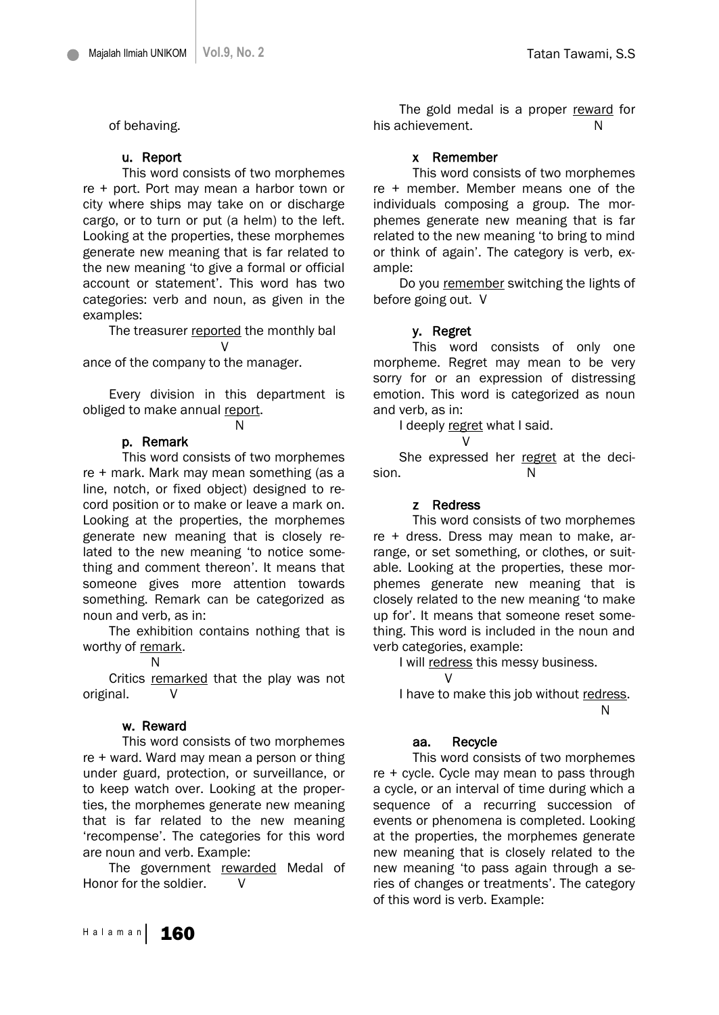of behaving.

## u. Report

 This word consists of two morphemes re + port. Port may mean a harbor town or city where ships may take on or discharge cargo, or to turn or put (a helm) to the left. Looking at the properties, these morphemes generate new meaning that is far related to the new meaning "to give a formal or official account or statement'. This word has two categories: verb and noun, as given in the examples:

The treasurer reported the monthly bal

V ance of the company to the manager.

Every division in this department is obliged to make annual report.

## N

# p. Remark

This word consists of two morphemes re + mark. Mark may mean something (as a line, notch, or fixed object) designed to record position or to make or leave a mark on. Looking at the properties, the morphemes generate new meaning that is closely related to the new meaning "to notice something and comment thereon". It means that someone gives more attention towards something. Remark can be categorized as noun and verb, as in:

The exhibition contains nothing that is worthy of remark.

N

Critics remarked that the play was not original.

#### w. Reward

 This word consists of two morphemes re + ward. Ward may mean a person or thing under guard, protection, or surveillance, or to keep watch over. Looking at the properties, the morphemes generate new meaning that is far related to the new meaning "recompense". The categories for this word are noun and verb. Example:

The government rewarded Medal of Honor for the soldier. V

The gold medal is a proper reward for his achievement. N

## x Remember

 This word consists of two morphemes re + member. Member means one of the individuals composing a group. The morphemes generate new meaning that is far related to the new meaning "to bring to mind or think of again". The category is verb, example:

Do you remember switching the lights of before going out. V

#### y. Regret

 This word consists of only one morpheme. Regret may mean to be very sorry for or an expression of distressing emotion. This word is categorized as noun and verb, as in:

I deeply regret what I said.

V

She expressed her regret at the decision. N

#### z Redress

 This word consists of two morphemes re + dress. Dress may mean to make, arrange, or set something, or clothes, or suitable. Looking at the properties, these morphemes generate new meaning that is closely related to the new meaning "to make up for". It means that someone reset something. This word is included in the noun and verb categories, example:

I will redress this messy business.

I have to make this job without redress. na na banda a shekarar N

#### aa. Recycle

 $\mathcal{U}$ 

 This word consists of two morphemes re + cycle. Cycle may mean to pass through a cycle, or an interval of time during which a sequence of a recurring succession of events or phenomena is completed. Looking at the properties, the morphemes generate new meaning that is closely related to the new meaning "to pass again through a series of changes or treatments". The category of this word is verb. Example: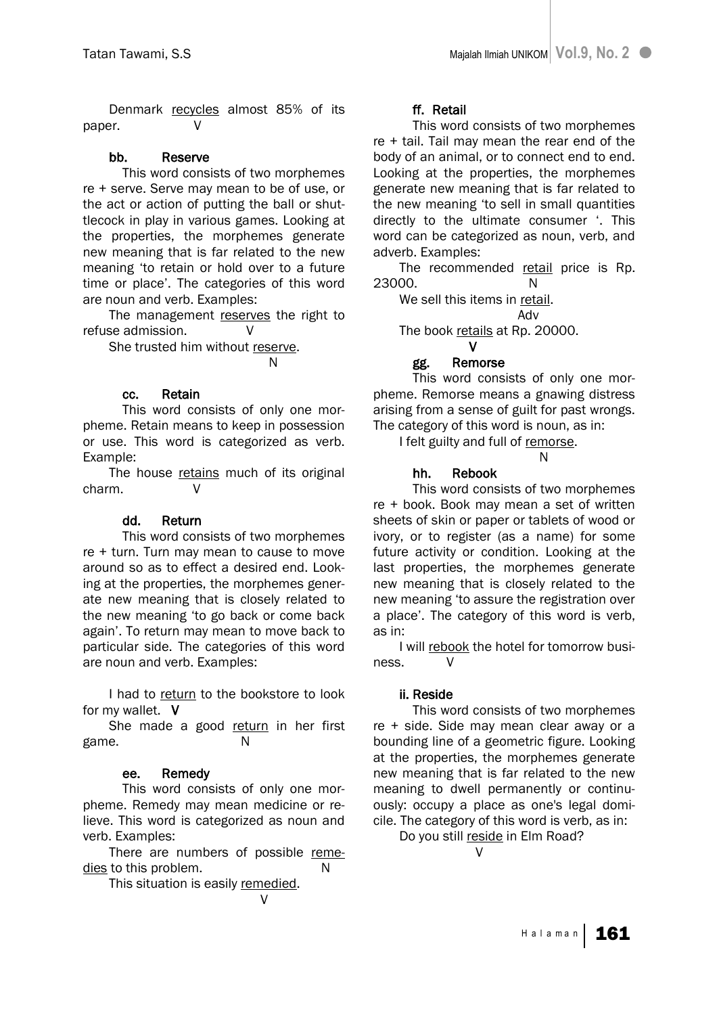Denmark recycles almost 85% of its paper.

# bb. Reserve

 This word consists of two morphemes re + serve. Serve may mean to be of use, or the act or action of putting the ball or shuttlecock in play in various games. Looking at the properties, the morphemes generate new meaning that is far related to the new meaning "to retain or hold over to a future time or place". The categories of this word are noun and verb. Examples:

The management reserves the right to refuse admission. V

She trusted him without reserve.

# N<sub>N</sub>N<sub>N</sub>

# cc. Retain

 This word consists of only one morpheme. Retain means to keep in possession or use. This word is categorized as verb. Example:

The house retains much of its original charm. V

# dd. Return

 This word consists of two morphemes re + turn. Turn may mean to cause to move around so as to effect a desired end. Looking at the properties, the morphemes generate new meaning that is closely related to the new meaning "to go back or come back again". To return may mean to move back to particular side. The categories of this word are noun and verb. Examples:

I had to return to the bookstore to look for my wallet. V

She made a good return in her first game. N

# ee. Remedy

 This word consists of only one morpheme. Remedy may mean medicine or relieve. This word is categorized as noun and verb. Examples:

There are numbers of possible remedies to this problem.

This situation is easily remedied. V

# ff. Retail

 This word consists of two morphemes re + tail. Tail may mean the rear end of the body of an animal, or to connect end to end. Looking at the properties, the morphemes generate new meaning that is far related to the new meaning "to sell in small quantities directly to the ultimate consumer '. This word can be categorized as noun, verb, and adverb. Examples:

The recommended retail price is Rp. 23000. N

We sell this items in retail.

Adv

The book retails at Rp. 20000.

#### V gg. Remorse

 This word consists of only one morpheme. Remorse means a gnawing distress arising from a sense of guilt for past wrongs. The category of this word is noun, as in:

I felt guilty and full of remorse.

N<sub>N</sub>N<sub>N</sub>N<sub>N</sub>N<sub>N</sub>N<sub>N</sub>N<sub>N</sub>

# hh. Rebook

 This word consists of two morphemes re + book. Book may mean a set of written sheets of skin or paper or tablets of wood or ivory, or to register (as a name) for some future activity or condition. Looking at the last properties, the morphemes generate new meaning that is closely related to the new meaning "to assure the registration over a place". The category of this word is verb, as in:

I will rebook the hotel for tomorrow business. V

# ii. Reside

This word consists of two morphemes re + side. Side may mean clear away or a bounding line of a geometric figure. Looking at the properties, the morphemes generate new meaning that is far related to the new meaning to dwell permanently or continuously: occupy a place as one's legal domicile. The category of this word is verb, as in:

Do you still reside in Elm Road?

V